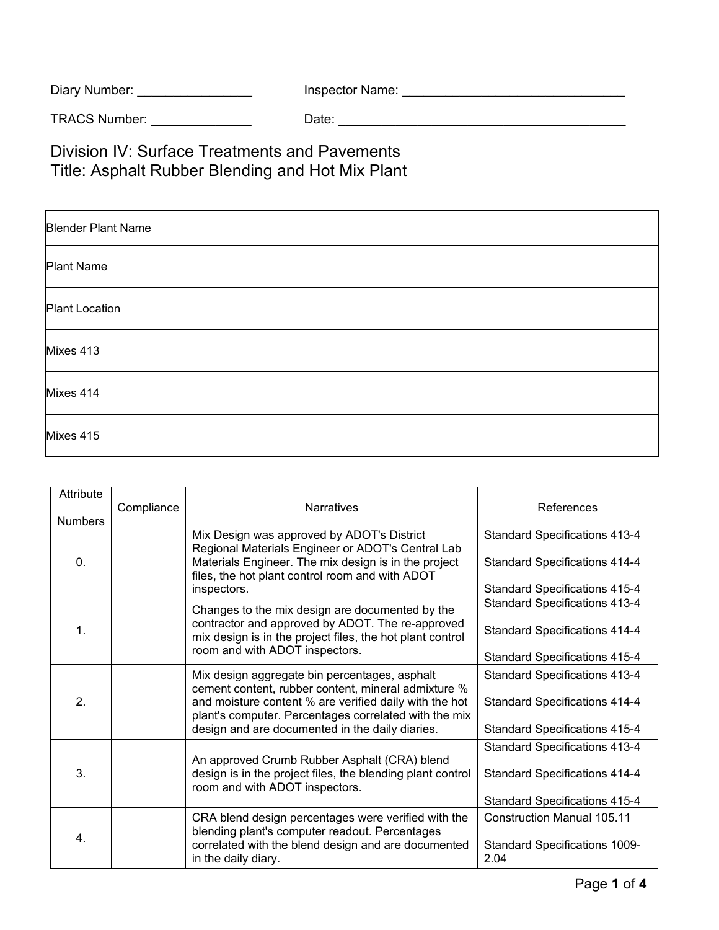| Diary Number: | Inspector Name: |
|---------------|-----------------|
|               |                 |

TRACS Number: \_\_\_\_\_\_\_\_\_\_\_\_\_\_ Date: \_\_\_\_\_\_\_\_\_\_\_\_\_\_\_\_\_\_\_\_\_\_\_\_\_\_\_\_\_\_\_\_\_\_\_\_\_\_\_\_

Division IV: Surface Treatments and Pavements Title: Asphalt Rubber Blending and Hot Mix Plant

| <b>Blender Plant Name</b> |
|---------------------------|
| Plant Name                |
| <b>Plant Location</b>     |
| Mixes 413                 |
| Mixes 414                 |
| Mixes 415                 |

| Attribute        | Compliance | <b>Narratives</b>                                                                                                                                                                                                                                                          | References                                   |
|------------------|------------|----------------------------------------------------------------------------------------------------------------------------------------------------------------------------------------------------------------------------------------------------------------------------|----------------------------------------------|
| <b>Numbers</b>   |            |                                                                                                                                                                                                                                                                            |                                              |
|                  |            | Mix Design was approved by ADOT's District<br>Regional Materials Engineer or ADOT's Central Lab                                                                                                                                                                            | <b>Standard Specifications 413-4</b>         |
| $\mathbf{0}$ .   |            | Materials Engineer. The mix design is in the project<br>files, the hot plant control room and with ADOT                                                                                                                                                                    | <b>Standard Specifications 414-4</b>         |
|                  |            | inspectors.                                                                                                                                                                                                                                                                | <b>Standard Specifications 415-4</b>         |
| $\mathbf{1}$ .   |            | Changes to the mix design are documented by the<br>contractor and approved by ADOT. The re-approved<br>mix design is in the project files, the hot plant control<br>room and with ADOT inspectors.                                                                         | <b>Standard Specifications 413-4</b>         |
|                  |            |                                                                                                                                                                                                                                                                            | <b>Standard Specifications 414-4</b>         |
|                  |            |                                                                                                                                                                                                                                                                            | <b>Standard Specifications 415-4</b>         |
| $\overline{2}$ . |            | Mix design aggregate bin percentages, asphalt<br>cement content, rubber content, mineral admixture %<br>and moisture content % are verified daily with the hot<br>plant's computer. Percentages correlated with the mix<br>design and are documented in the daily diaries. | <b>Standard Specifications 413-4</b>         |
|                  |            |                                                                                                                                                                                                                                                                            | <b>Standard Specifications 414-4</b>         |
|                  |            |                                                                                                                                                                                                                                                                            | <b>Standard Specifications 415-4</b>         |
|                  |            | An approved Crumb Rubber Asphalt (CRA) blend                                                                                                                                                                                                                               | <b>Standard Specifications 413-4</b>         |
| 3.               |            | design is in the project files, the blending plant control<br>room and with ADOT inspectors.                                                                                                                                                                               | <b>Standard Specifications 414-4</b>         |
|                  |            |                                                                                                                                                                                                                                                                            | <b>Standard Specifications 415-4</b>         |
| 4.               |            | CRA blend design percentages were verified with the<br>blending plant's computer readout. Percentages                                                                                                                                                                      | <b>Construction Manual 105.11</b>            |
|                  |            | correlated with the blend design and are documented<br>in the daily diary.                                                                                                                                                                                                 | <b>Standard Specifications 1009-</b><br>2.04 |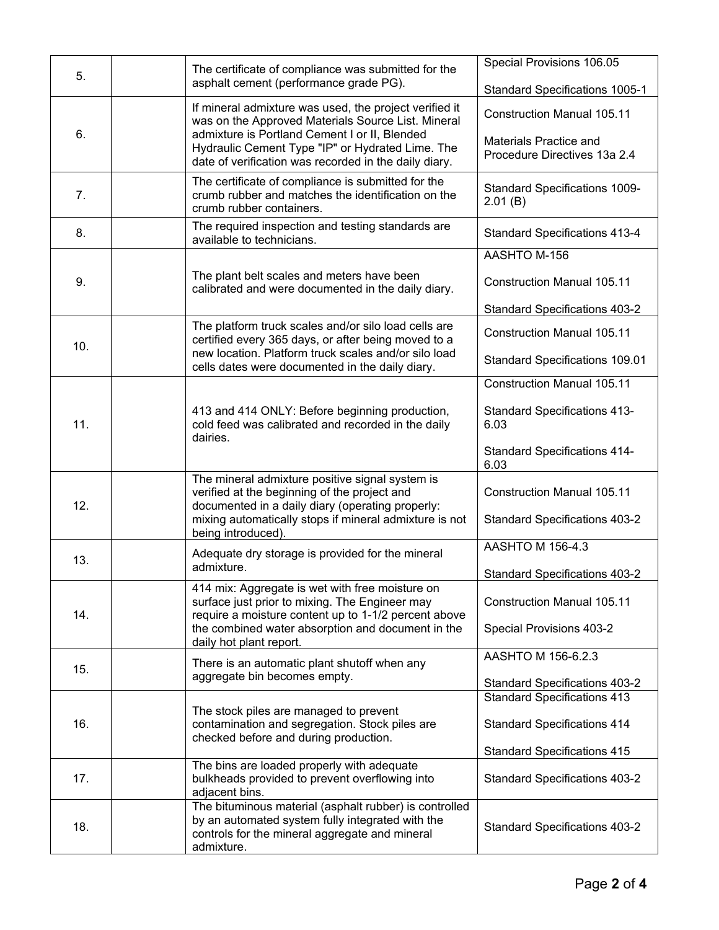| 5.  |                                                                                                           | The certificate of compliance was submitted for the                                                                                                                 | Special Provisions 106.05                       |
|-----|-----------------------------------------------------------------------------------------------------------|---------------------------------------------------------------------------------------------------------------------------------------------------------------------|-------------------------------------------------|
|     | asphalt cement (performance grade PG).                                                                    | Standard Specifications 1005-1                                                                                                                                      |                                                 |
| 6.  |                                                                                                           | If mineral admixture was used, the project verified it<br>was on the Approved Materials Source List. Mineral<br>admixture is Portland Cement I or II, Blended       | <b>Construction Manual 105.11</b>               |
|     | Hydraulic Cement Type "IP" or Hydrated Lime. The<br>date of verification was recorded in the daily diary. | Materials Practice and<br>Procedure Directives 13a 2.4                                                                                                              |                                                 |
| 7.  |                                                                                                           | The certificate of compliance is submitted for the<br>crumb rubber and matches the identification on the<br>crumb rubber containers.                                | <b>Standard Specifications 1009-</b><br>2.01(B) |
| 8.  |                                                                                                           | The required inspection and testing standards are<br>available to technicians.                                                                                      | <b>Standard Specifications 413-4</b>            |
|     |                                                                                                           |                                                                                                                                                                     | AASHTO M-156                                    |
| 9.  |                                                                                                           | The plant belt scales and meters have been<br>calibrated and were documented in the daily diary.                                                                    | <b>Construction Manual 105.11</b>               |
|     |                                                                                                           |                                                                                                                                                                     | <b>Standard Specifications 403-2</b>            |
| 10. |                                                                                                           | The platform truck scales and/or silo load cells are<br>certified every 365 days, or after being moved to a<br>new location. Platform truck scales and/or silo load | <b>Construction Manual 105.11</b>               |
|     |                                                                                                           | cells dates were documented in the daily diary.                                                                                                                     | <b>Standard Specifications 109.01</b>           |
|     |                                                                                                           |                                                                                                                                                                     | <b>Construction Manual 105.11</b>               |
| 11. |                                                                                                           | 413 and 414 ONLY: Before beginning production,<br>cold feed was calibrated and recorded in the daily                                                                | <b>Standard Specifications 413-</b><br>6.03     |
|     |                                                                                                           | dairies.                                                                                                                                                            | <b>Standard Specifications 414-</b><br>6.03     |
| 12. |                                                                                                           | The mineral admixture positive signal system is<br>verified at the beginning of the project and<br>documented in a daily diary (operating properly:                 | <b>Construction Manual 105.11</b>               |
|     |                                                                                                           | mixing automatically stops if mineral admixture is not<br>being introduced).                                                                                        | <b>Standard Specifications 403-2</b>            |
| 13. |                                                                                                           | Adequate dry storage is provided for the mineral                                                                                                                    | AASHTO M 156-4.3                                |
|     |                                                                                                           | admixture.                                                                                                                                                          | <b>Standard Specifications 403-2</b>            |
| 14. |                                                                                                           | 414 mix: Aggregate is wet with free moisture on<br>surface just prior to mixing. The Engineer may<br>require a moisture content up to 1-1/2 percent above           | <b>Construction Manual 105.11</b>               |
|     |                                                                                                           | the combined water absorption and document in the<br>daily hot plant report.                                                                                        | Special Provisions 403-2                        |
| 15. |                                                                                                           | There is an automatic plant shutoff when any                                                                                                                        | AASHTO M 156-6.2.3                              |
|     |                                                                                                           | aggregate bin becomes empty.                                                                                                                                        | <b>Standard Specifications 403-2</b>            |
|     |                                                                                                           |                                                                                                                                                                     | <b>Standard Specifications 413</b>              |
| 16. |                                                                                                           | The stock piles are managed to prevent<br>contamination and segregation. Stock piles are<br>checked before and during production.                                   | <b>Standard Specifications 414</b>              |
|     |                                                                                                           |                                                                                                                                                                     | <b>Standard Specifications 415</b>              |
| 17. |                                                                                                           | The bins are loaded properly with adequate<br>bulkheads provided to prevent overflowing into<br>adjacent bins.                                                      | <b>Standard Specifications 403-2</b>            |
|     |                                                                                                           | The bituminous material (asphalt rubber) is controlled                                                                                                              |                                                 |
| 18. |                                                                                                           | by an automated system fully integrated with the<br>controls for the mineral aggregate and mineral<br>admixture.                                                    | <b>Standard Specifications 403-2</b>            |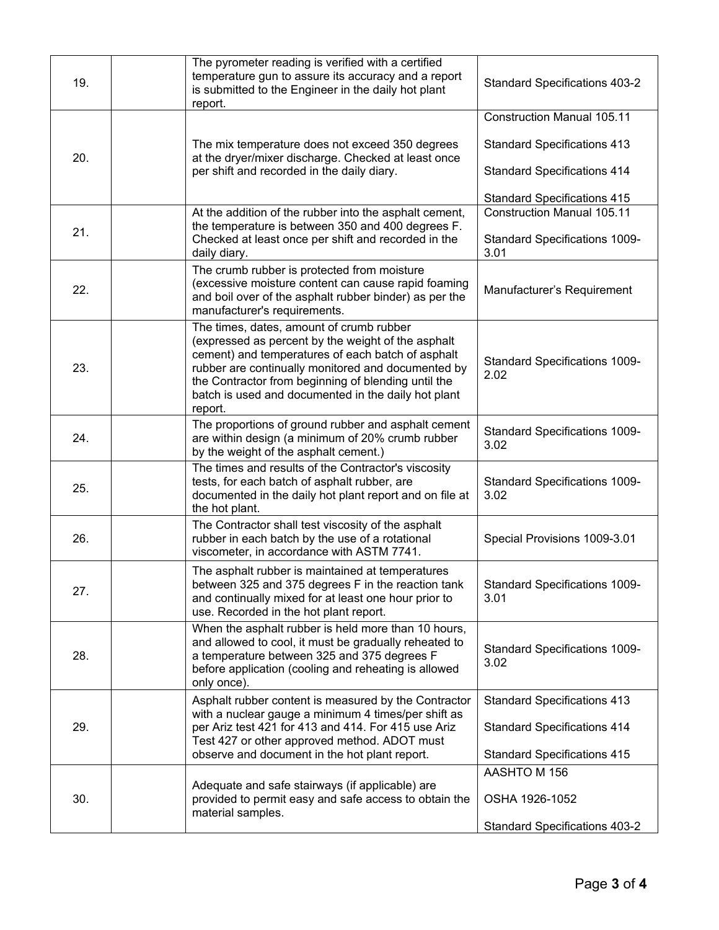| 19. | The pyrometer reading is verified with a certified<br>temperature gun to assure its accuracy and a report<br>is submitted to the Engineer in the daily hot plant<br>report.                                                                                                                                                        | <b>Standard Specifications 403-2</b>                                      |
|-----|------------------------------------------------------------------------------------------------------------------------------------------------------------------------------------------------------------------------------------------------------------------------------------------------------------------------------------|---------------------------------------------------------------------------|
|     |                                                                                                                                                                                                                                                                                                                                    | <b>Construction Manual 105.11</b>                                         |
| 20. | The mix temperature does not exceed 350 degrees<br>at the dryer/mixer discharge. Checked at least once                                                                                                                                                                                                                             | <b>Standard Specifications 413</b>                                        |
|     | per shift and recorded in the daily diary.                                                                                                                                                                                                                                                                                         | <b>Standard Specifications 414</b>                                        |
|     |                                                                                                                                                                                                                                                                                                                                    | <b>Standard Specifications 415</b>                                        |
| 21. | At the addition of the rubber into the asphalt cement,<br>the temperature is between 350 and 400 degrees F.<br>Checked at least once per shift and recorded in the                                                                                                                                                                 | <b>Construction Manual 105.11</b><br><b>Standard Specifications 1009-</b> |
|     | daily diary.                                                                                                                                                                                                                                                                                                                       | 3.01                                                                      |
| 22. | The crumb rubber is protected from moisture<br>(excessive moisture content can cause rapid foaming<br>and boil over of the asphalt rubber binder) as per the<br>manufacturer's requirements.                                                                                                                                       | Manufacturer's Requirement                                                |
| 23. | The times, dates, amount of crumb rubber<br>(expressed as percent by the weight of the asphalt<br>cement) and temperatures of each batch of asphalt<br>rubber are continually monitored and documented by<br>the Contractor from beginning of blending until the<br>batch is used and documented in the daily hot plant<br>report. | <b>Standard Specifications 1009-</b><br>2.02                              |
| 24. | The proportions of ground rubber and asphalt cement<br>are within design (a minimum of 20% crumb rubber<br>by the weight of the asphalt cement.)                                                                                                                                                                                   | <b>Standard Specifications 1009-</b><br>3.02                              |
| 25. | The times and results of the Contractor's viscosity<br>tests, for each batch of asphalt rubber, are<br>documented in the daily hot plant report and on file at<br>the hot plant.                                                                                                                                                   | <b>Standard Specifications 1009-</b><br>3.02                              |
| 26. | The Contractor shall test viscosity of the asphalt<br>rubber in each batch by the use of a rotational<br>viscometer, in accordance with ASTM 7741.                                                                                                                                                                                 | Special Provisions 1009-3.01                                              |
| 27. | The asphalt rubber is maintained at temperatures<br>between 325 and 375 degrees F in the reaction tank<br>and continually mixed for at least one hour prior to<br>use. Recorded in the hot plant report.                                                                                                                           | <b>Standard Specifications 1009-</b><br>3.01                              |
| 28. | When the asphalt rubber is held more than 10 hours,<br>and allowed to cool, it must be gradually reheated to<br>a temperature between 325 and 375 degrees F<br>before application (cooling and reheating is allowed<br>only once).                                                                                                 | <b>Standard Specifications 1009-</b><br>3.02                              |
|     | Asphalt rubber content is measured by the Contractor                                                                                                                                                                                                                                                                               | <b>Standard Specifications 413</b>                                        |
| 29. | with a nuclear gauge a minimum 4 times/per shift as<br>per Ariz test 421 for 413 and 414. For 415 use Ariz<br>Test 427 or other approved method. ADOT must                                                                                                                                                                         | <b>Standard Specifications 414</b>                                        |
|     | observe and document in the hot plant report.                                                                                                                                                                                                                                                                                      | <b>Standard Specifications 415</b>                                        |
|     |                                                                                                                                                                                                                                                                                                                                    | AASHTO M 156                                                              |
| 30. | Adequate and safe stairways (if applicable) are<br>provided to permit easy and safe access to obtain the<br>material samples.                                                                                                                                                                                                      | OSHA 1926-1052                                                            |
|     |                                                                                                                                                                                                                                                                                                                                    | <b>Standard Specifications 403-2</b>                                      |